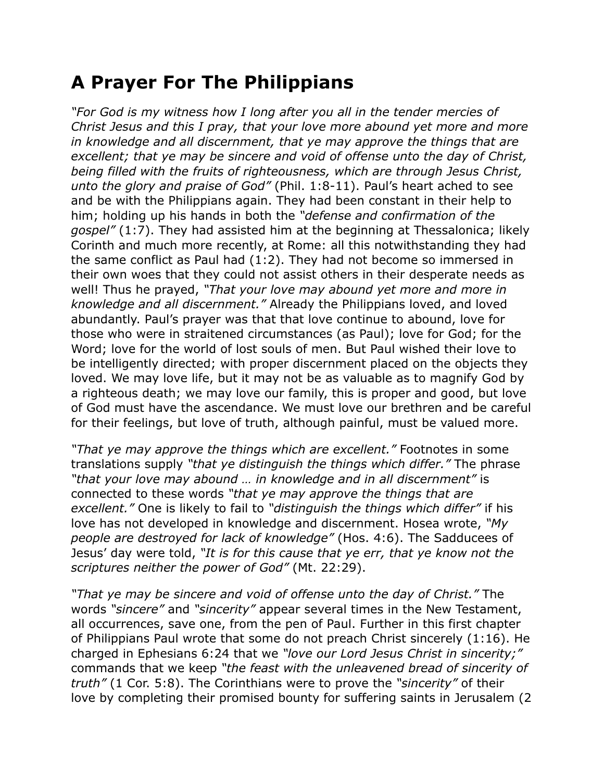## **A Prayer For The Philippians**

*"For God is my witness how I long after you all in the tender mercies of Christ Jesus and this I pray, that your love more abound yet more and more in knowledge and all discernment, that ye may approve the things that are excellent; that ye may be sincere and void of offense unto the day of Christ, being filled with the fruits of righteousness, which are through Jesus Christ, unto the glory and praise of God"* (Phil. 1:8-11). Paul's heart ached to see and be with the Philippians again. They had been constant in their help to him; holding up his hands in both the *"defense and confirmation of the gospel"* (1:7). They had assisted him at the beginning at Thessalonica; likely Corinth and much more recently, at Rome: all this notwithstanding they had the same conflict as Paul had (1:2). They had not become so immersed in their own woes that they could not assist others in their desperate needs as well! Thus he prayed, *"That your love may abound yet more and more in knowledge and all discernment."* Already the Philippians loved, and loved abundantly. Paul's prayer was that that love continue to abound, love for those who were in straitened circumstances (as Paul); love for God; for the Word; love for the world of lost souls of men. But Paul wished their love to be intelligently directed; with proper discernment placed on the objects they loved. We may love life, but it may not be as valuable as to magnify God by a righteous death; we may love our family, this is proper and good, but love of God must have the ascendance. We must love our brethren and be careful for their feelings, but love of truth, although painful, must be valued more.

*"That ye may approve the things which are excellent."* Footnotes in some translations supply *"that ye distinguish the things which differ."* The phrase *"that your love may abound … in knowledge and in all discernment"* is connected to these words *"that ye may approve the things that are excellent."* One is likely to fail to *"distinguish the things which differ"* if his love has not developed in knowledge and discernment. Hosea wrote, *"My people are destroyed for lack of knowledge"* (Hos. 4:6). The Sadducees of Jesus' day were told, *"It is for this cause that ye err, that ye know not the scriptures neither the power of God"* (Mt. 22:29).

*"That ye may be sincere and void of offense unto the day of Christ."* The words *"sincere"* and *"sincerity"* appear several times in the New Testament, all occurrences, save one, from the pen of Paul. Further in this first chapter of Philippians Paul wrote that some do not preach Christ sincerely (1:16). He charged in Ephesians 6:24 that we *"love our Lord Jesus Christ in sincerity;"* commands that we keep *"the feast with the unleavened bread of sincerity of truth"* (1 Cor. 5:8). The Corinthians were to prove the *"sincerity"* of their love by completing their promised bounty for suffering saints in Jerusalem (2